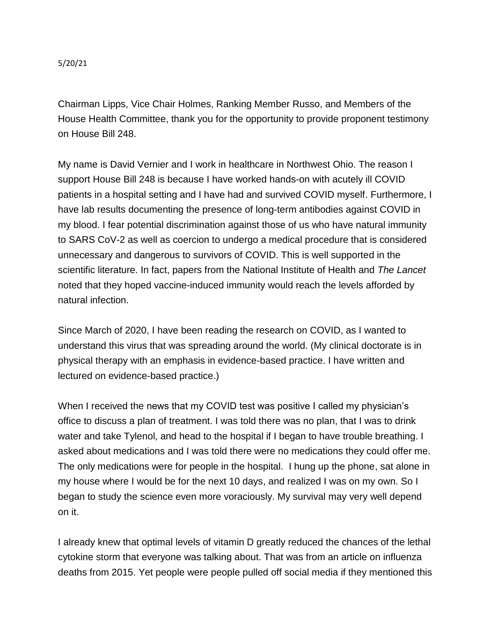5/20/21

Chairman Lipps, Vice Chair Holmes, Ranking Member Russo, and Members of the House Health Committee, thank you for the opportunity to provide proponent testimony on House Bill 248.

My name is David Vernier and I work in healthcare in Northwest Ohio. The reason I support House Bill 248 is because I have worked hands-on with acutely ill COVID patients in a hospital setting and I have had and survived COVID myself. Furthermore, I have lab results documenting the presence of long-term antibodies against COVID in my blood. I fear potential discrimination against those of us who have natural immunity to SARS CoV-2 as well as coercion to undergo a medical procedure that is considered unnecessary and dangerous to survivors of COVID. This is well supported in the scientific literature. In fact, papers from the National Institute of Health and *The Lancet* noted that they hoped vaccine-induced immunity would reach the levels afforded by natural infection.

Since March of 2020, I have been reading the research on COVID, as I wanted to understand this virus that was spreading around the world. (My clinical doctorate is in physical therapy with an emphasis in evidence-based practice. I have written and lectured on evidence-based practice.)

When I received the news that my COVID test was positive I called my physician's office to discuss a plan of treatment. I was told there was no plan, that I was to drink water and take Tylenol, and head to the hospital if I began to have trouble breathing. I asked about medications and I was told there were no medications they could offer me. The only medications were for people in the hospital. I hung up the phone, sat alone in my house where I would be for the next 10 days, and realized I was on my own. So I began to study the science even more voraciously. My survival may very well depend on it.

I already knew that optimal levels of vitamin D greatly reduced the chances of the lethal cytokine storm that everyone was talking about. That was from an article on influenza deaths from 2015. Yet people were people pulled off social media if they mentioned this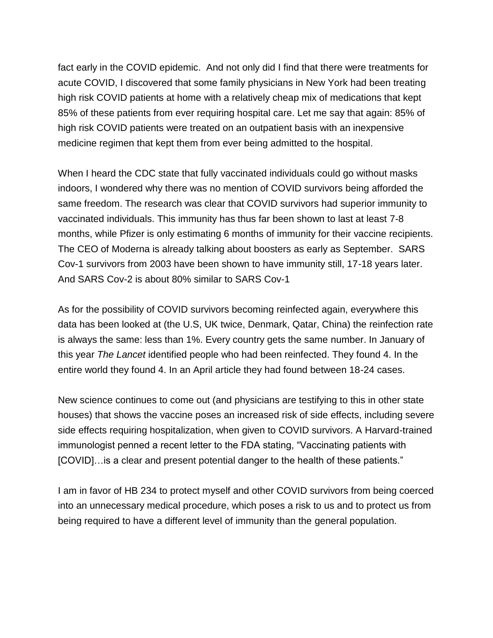fact early in the COVID epidemic. And not only did I find that there were treatments for acute COVID, I discovered that some family physicians in New York had been treating high risk COVID patients at home with a relatively cheap mix of medications that kept 85% of these patients from ever requiring hospital care. Let me say that again: 85% of high risk COVID patients were treated on an outpatient basis with an inexpensive medicine regimen that kept them from ever being admitted to the hospital.

When I heard the CDC state that fully vaccinated individuals could go without masks indoors, I wondered why there was no mention of COVID survivors being afforded the same freedom. The research was clear that COVID survivors had superior immunity to vaccinated individuals. This immunity has thus far been shown to last at least 7-8 months, while Pfizer is only estimating 6 months of immunity for their vaccine recipients. The CEO of Moderna is already talking about boosters as early as September. SARS Cov-1 survivors from 2003 have been shown to have immunity still, 17-18 years later. And SARS Cov-2 is about 80% similar to SARS Cov-1

As for the possibility of COVID survivors becoming reinfected again, everywhere this data has been looked at (the U.S, UK twice, Denmark, Qatar, China) the reinfection rate is always the same: less than 1%. Every country gets the same number. In January of this year *The Lancet* identified people who had been reinfected. They found 4. In the entire world they found 4. In an April article they had found between 18-24 cases.

New science continues to come out (and physicians are testifying to this in other state houses) that shows the vaccine poses an increased risk of side effects, including severe side effects requiring hospitalization, when given to COVID survivors. A Harvard-trained immunologist penned a recent letter to the FDA stating, "Vaccinating patients with [COVID]…is a clear and present potential danger to the health of these patients."

I am in favor of HB 234 to protect myself and other COVID survivors from being coerced into an unnecessary medical procedure, which poses a risk to us and to protect us from being required to have a different level of immunity than the general population.